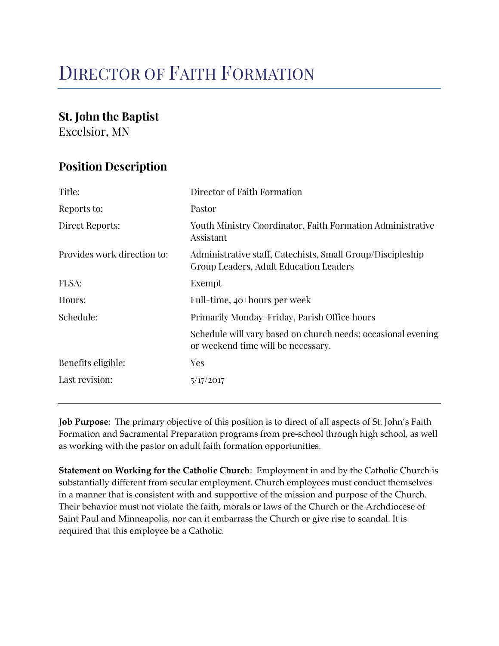# DIRECTOR OF FAITH FORMATION

# St. John the Baptist

Excelsior, MN

# Position Description

| Title:                      | Director of Faith Formation                                                                          |  |
|-----------------------------|------------------------------------------------------------------------------------------------------|--|
| Reports to:                 | Pastor                                                                                               |  |
| Direct Reports:             | Youth Ministry Coordinator, Faith Formation Administrative<br>Assistant                              |  |
| Provides work direction to: | Administrative staff, Catechists, Small Group/Discipleship<br>Group Leaders, Adult Education Leaders |  |
| FLSA:                       | Exempt                                                                                               |  |
| Hours:                      | Full-time, 40 <sup>+</sup> hours per week                                                            |  |
| Schedule:                   | Primarily Monday-Friday, Parish Office hours                                                         |  |
|                             | Schedule will vary based on church needs; occasional evening<br>or weekend time will be necessary.   |  |
| Benefits eligible:          | <b>Yes</b>                                                                                           |  |
| Last revision:              | 5/17/2017                                                                                            |  |

Job Purpose: The primary objective of this position is to direct of all aspects of St. John's Faith Formation and Sacramental Preparation programs from pre-school through high school, as well as working with the pastor on adult faith formation opportunities.

Statement on Working for the Catholic Church: Employment in and by the Catholic Church is substantially different from secular employment. Church employees must conduct themselves in a manner that is consistent with and supportive of the mission and purpose of the Church. Their behavior must not violate the faith, morals or laws of the Church or the Archdiocese of Saint Paul and Minneapolis, nor can it embarrass the Church or give rise to scandal. It is required that this employee be a Catholic.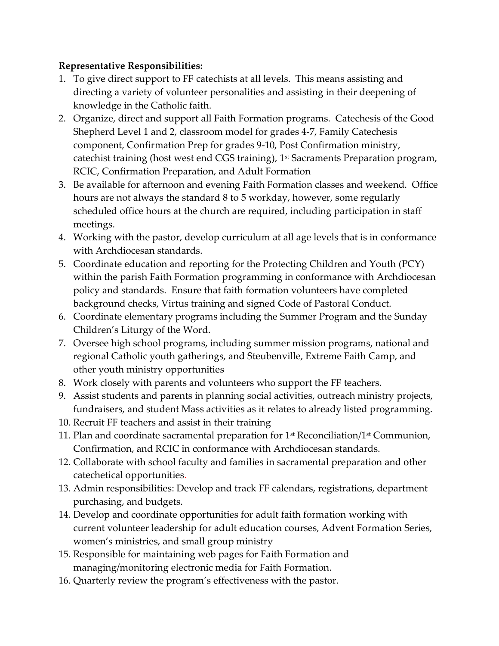# Representative Responsibilities:

- 1. To give direct support to FF catechists at all levels. This means assisting and directing a variety of volunteer personalities and assisting in their deepening of knowledge in the Catholic faith.
- 2. Organize, direct and support all Faith Formation programs. Catechesis of the Good Shepherd Level 1 and 2, classroom model for grades 4-7, Family Catechesis component, Confirmation Prep for grades 9-10, Post Confirmation ministry, catechist training (host west end CGS training), 1<sup>st</sup> Sacraments Preparation program, RCIC, Confirmation Preparation, and Adult Formation
- 3. Be available for afternoon and evening Faith Formation classes and weekend. Office hours are not always the standard 8 to 5 workday, however, some regularly scheduled office hours at the church are required, including participation in staff meetings.
- 4. Working with the pastor, develop curriculum at all age levels that is in conformance with Archdiocesan standards.
- 5. Coordinate education and reporting for the Protecting Children and Youth (PCY) within the parish Faith Formation programming in conformance with Archdiocesan policy and standards. Ensure that faith formation volunteers have completed background checks, Virtus training and signed Code of Pastoral Conduct.
- 6. Coordinate elementary programs including the Summer Program and the Sunday Children's Liturgy of the Word.
- 7. Oversee high school programs, including summer mission programs, national and regional Catholic youth gatherings, and Steubenville, Extreme Faith Camp, and other youth ministry opportunities
- 8. Work closely with parents and volunteers who support the FF teachers.
- 9. Assist students and parents in planning social activities, outreach ministry projects, fundraisers, and student Mass activities as it relates to already listed programming.
- 10. Recruit FF teachers and assist in their training
- 11. Plan and coordinate sacramental preparation for  $1<sup>st</sup>$  Reconciliation/ $1<sup>st</sup>$  Communion, Confirmation, and RCIC in conformance with Archdiocesan standards.
- 12. Collaborate with school faculty and families in sacramental preparation and other catechetical opportunities.
- 13. Admin responsibilities: Develop and track FF calendars, registrations, department purchasing, and budgets.
- 14. Develop and coordinate opportunities for adult faith formation working with current volunteer leadership for adult education courses, Advent Formation Series, women's ministries, and small group ministry
- 15. Responsible for maintaining web pages for Faith Formation and managing/monitoring electronic media for Faith Formation.
- 16. Quarterly review the program's effectiveness with the pastor.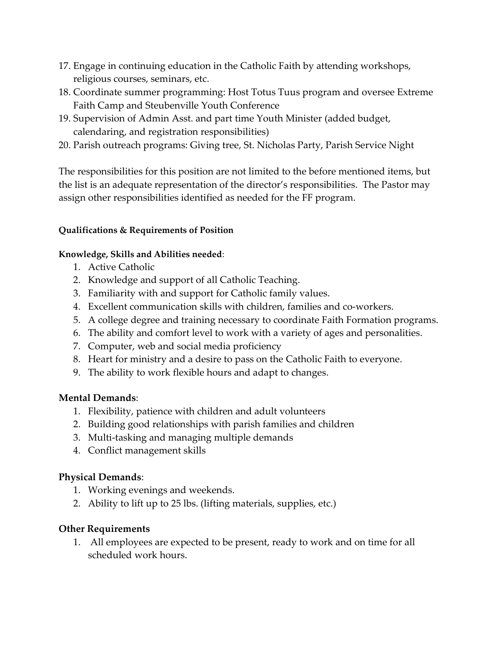- 17. Engage in continuing education in the Catholic Faith by attending workshops, religious courses, seminars, etc.
- 18. Coordinate summer programming: Host Totus Tuus program and oversee Extreme Faith Camp and Steubenville Youth Conference
- 19. Supervision of Admin Asst. and part time Youth Minister (added budget, calendaring, and registration responsibilities)
- 20. Parish outreach programs: Giving tree, St. Nicholas Party, Parish Service Night

The responsibilities for this position are not limited to the before mentioned items, but the list is an adequate representation of the director's responsibilities. The Pastor may assign other responsibilities identified as needed for the FF program.

#### Qualifications & Requirements of Position

#### Knowledge, Skills and Abilities needed:

- 1. Active Catholic
- 2. Knowledge and support of all Catholic Teaching.
- 3. Familiarity with and support for Catholic family values.
- 4. Excellent communication skills with children, families and co-workers.
- 5. A college degree and training necessary to coordinate Faith Formation programs.
- 6. The ability and comfort level to work with a variety of ages and personalities.
- 7. Computer, web and social media proficiency
- 8. Heart for ministry and a desire to pass on the Catholic Faith to everyone.
- 9. The ability to work flexible hours and adapt to changes.

# Mental Demands:

- 1. Flexibility, patience with children and adult volunteers
- 2. Building good relationships with parish families and children
- 3. Multi-tasking and managing multiple demands
- 4. Conflict management skills

# Physical Demands:

- 1. Working evenings and weekends.
- 2. Ability to lift up to 25 lbs. (lifting materials, supplies, etc.)

# Other Requirements

1. All employees are expected to be present, ready to work and on time for all scheduled work hours.